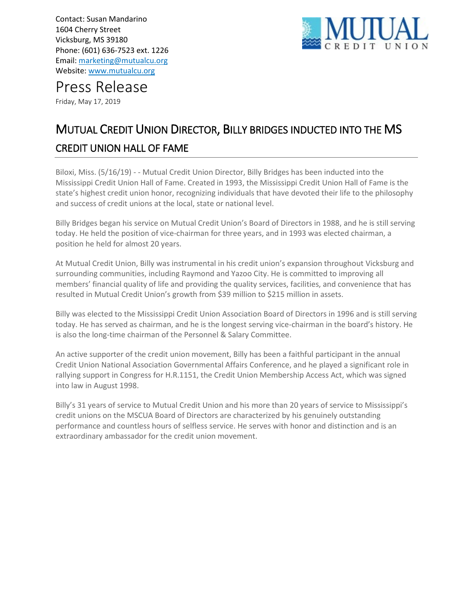Contact: Susan Mandarino 1604 Cherry Street Vicksburg, MS 39180 Phone: (601) 636-7523 ext. 1226 Email: [marketing@mutualcu.org](mailto:marketing@mutualcu.org) Website[: www.mutualcu.org](http://www.mutualcu.org/)



Press Release

Friday, May 17, 2019

## MUTUAL CREDIT UNION DIRECTOR, BILLY BRIDGES INDUCTED INTO THE MS CREDIT UNION HALL OF FAME

Biloxi, Miss. (5/16/19) - - Mutual Credit Union Director, Billy Bridges has been inducted into the Mississippi Credit Union Hall of Fame. Created in 1993, the Mississippi Credit Union Hall of Fame is the state's highest credit union honor, recognizing individuals that have devoted their life to the philosophy and success of credit unions at the local, state or national level.

Billy Bridges began his service on Mutual Credit Union's Board of Directors in 1988, and he is still serving today. He held the position of vice-chairman for three years, and in 1993 was elected chairman, a position he held for almost 20 years.

At Mutual Credit Union, Billy was instrumental in his credit union's expansion throughout Vicksburg and surrounding communities, including Raymond and Yazoo City. He is committed to improving all members' financial quality of life and providing the quality services, facilities, and convenience that has resulted in Mutual Credit Union's growth from \$39 million to \$215 million in assets.

Billy was elected to the Mississippi Credit Union Association Board of Directors in 1996 and is still serving today. He has served as chairman, and he is the longest serving vice-chairman in the board's history. He is also the long-time chairman of the Personnel & Salary Committee.

An active supporter of the credit union movement, Billy has been a faithful participant in the annual Credit Union National Association Governmental Affairs Conference, and he played a significant role in rallying support in Congress for H.R.1151, the Credit Union Membership Access Act, which was signed into law in August 1998.

Billy's 31 years of service to Mutual Credit Union and his more than 20 years of service to Mississippi's credit unions on the MSCUA Board of Directors are characterized by his genuinely outstanding performance and countless hours of selfless service. He serves with honor and distinction and is an extraordinary ambassador for the credit union movement.